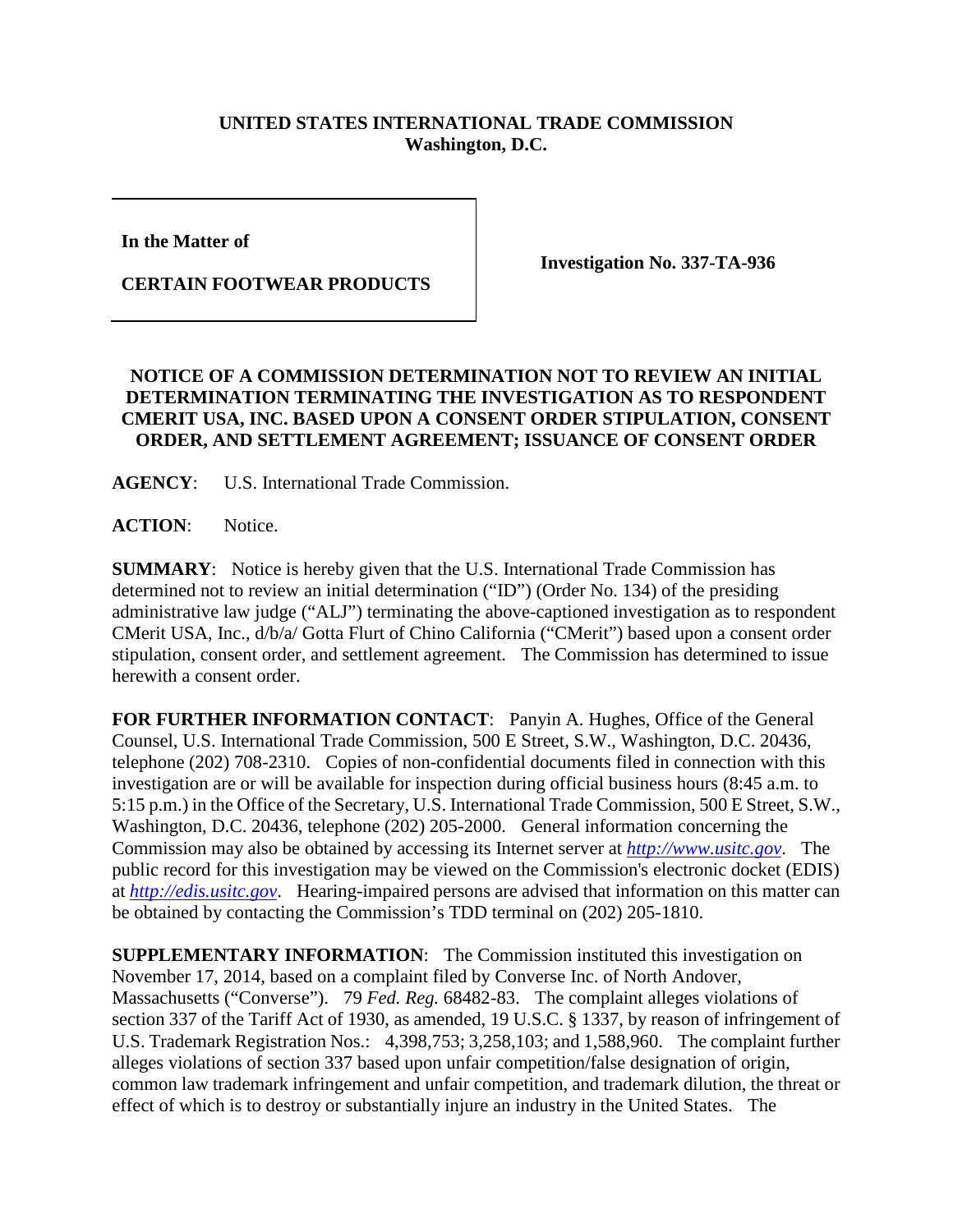## **UNITED STATES INTERNATIONAL TRADE COMMISSION Washington, D.C.**

**In the Matter of**

**CERTAIN FOOTWEAR PRODUCTS**

**Investigation No. 337-TA-936**

## **NOTICE OF A COMMISSION DETERMINATION NOT TO REVIEW AN INITIAL DETERMINATION TERMINATING THE INVESTIGATION AS TO RESPONDENT CMERIT USA, INC. BASED UPON A CONSENT ORDER STIPULATION, CONSENT ORDER, AND SETTLEMENT AGREEMENT; ISSUANCE OF CONSENT ORDER**

**AGENCY**: U.S. International Trade Commission.

**ACTION**: Notice.

**SUMMARY**: Notice is hereby given that the U.S. International Trade Commission has determined not to review an initial determination ("ID") (Order No. 134) of the presiding administrative law judge ("ALJ") terminating the above-captioned investigation as to respondent CMerit USA, Inc., d/b/a/ Gotta Flurt of Chino California ("CMerit") based upon a consent order stipulation, consent order, and settlement agreement. The Commission has determined to issue herewith a consent order.

**FOR FURTHER INFORMATION CONTACT**: Panyin A. Hughes, Office of the General Counsel, U.S. International Trade Commission, 500 E Street, S.W., Washington, D.C. 20436, telephone (202) 708-2310. Copies of non-confidential documents filed in connection with this investigation are or will be available for inspection during official business hours (8:45 a.m. to 5:15 p.m.) in the Office of the Secretary, U.S. International Trade Commission, 500 E Street, S.W., Washington, D.C. 20436, telephone (202) 205-2000. General information concerning the Commission may also be obtained by accessing its Internet server at *[http://www.usitc.gov](http://www.usitc.gov/)*. The public record for this investigation may be viewed on the Commission's electronic docket (EDIS) at *[http://edis.usitc.gov](http://edis.usitc.gov/)*. Hearing-impaired persons are advised that information on this matter can be obtained by contacting the Commission's TDD terminal on (202) 205-1810.

**SUPPLEMENTARY INFORMATION**: The Commission instituted this investigation on November 17, 2014, based on a complaint filed by Converse Inc. of North Andover, Massachusetts ("Converse"). 79 *Fed. Reg.* 68482-83. The complaint alleges violations of section 337 of the Tariff Act of 1930, as amended, 19 U.S.C. § 1337, by reason of infringement of U.S. Trademark Registration Nos.: 4,398,753; 3,258,103; and 1,588,960. The complaint further alleges violations of section 337 based upon unfair competition/false designation of origin, common law trademark infringement and unfair competition, and trademark dilution, the threat or effect of which is to destroy or substantially injure an industry in the United States. The